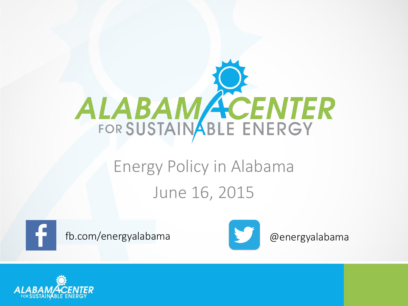

#### Energy Policy in Alabama June 16, 2015



fb.com/energyalabama @energyalabama



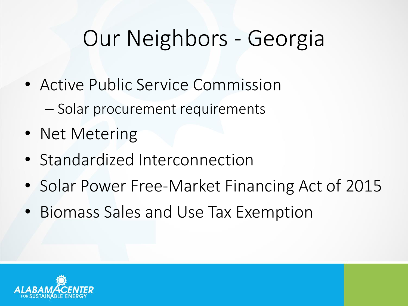## Our Neighbors - Georgia

- Active Public Service Commission – Solar procurement requirements
- Net Metering
- Standardized Interconnection
- Solar Power Free-Market Financing Act of 2015
- Biomass Sales and Use Tax Exemption

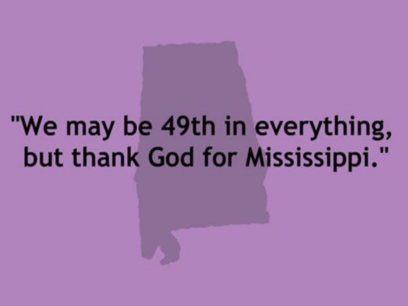## $\mathbf{v}$  standardized Interconnection Interconnection Interconnection Interconnection Interconnection Interconnection Interconnection Interconnection Interconnection Interconnection Interconnection Interconnection Interco we may be a fun in every uning but thank God for Mississippi."

Our New York - Georgia - Georgia - Georgia - Georgia - Georgia - Georgia - Georgia - Georgia - Georgia - Georgia<br>De Cartes - Georgia - Georgia - Georgia - Georgia - Georgia - Georgia - Georgia - Georgia - Georgia - Georgia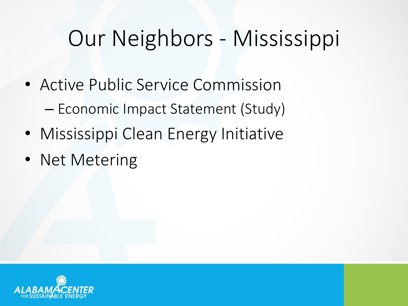## Our Neighbors - Mississippi

- Active Public Service Commission – Economic Impact Statement (Study)
- Mississippi Clean Energy Initiative
- Net Metering

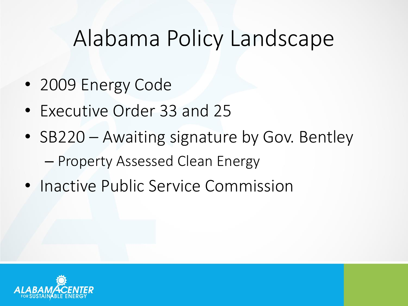#### Alabama Policy Landscape

- 2009 Energy Code
- Executive Order 33 and 25
- SB220 Awaiting signature by Gov. Bentley – Property Assessed Clean Energy
- Inactive Public Service Commission

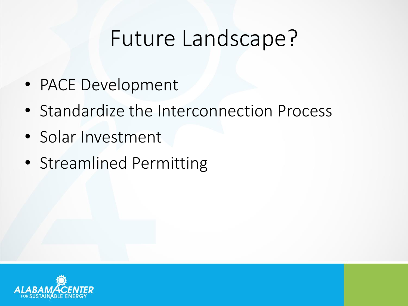#### Future Landscape?

- PACE Development
- Standardize the Interconnection Process
- Solar Investment
- Streamlined Permitting

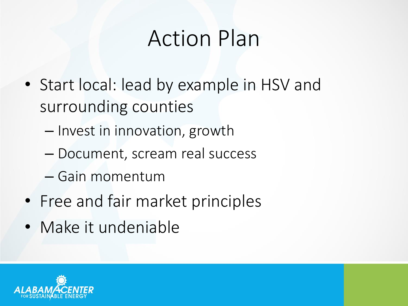### Action Plan

- Start local: lead by example in HSV and surrounding counties
	- Invest in innovation, growth
	- Document, scream real success
	- Gain momentum
- Free and fair market principles
- Make it undeniable

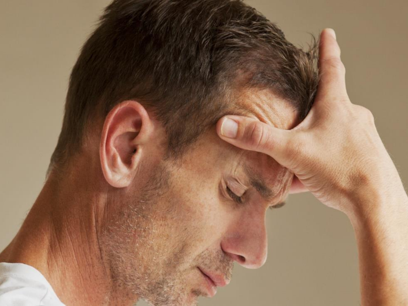